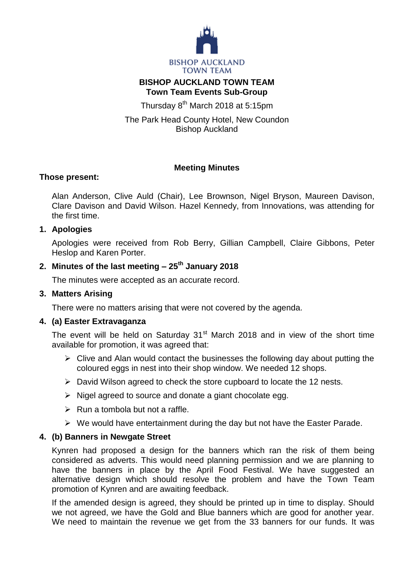

## **BISHOP AUCKLAND TOWN TEAM Town Team Events Sub-Group**

Thursday 8<sup>th</sup> March 2018 at 5:15pm

The Park Head County Hotel, New Coundon Bishop Auckland

# **Meeting Minutes**

## **Those present:**

Alan Anderson, Clive Auld (Chair), Lee Brownson, Nigel Bryson, Maureen Davison, Clare Davison and David Wilson. Hazel Kennedy, from Innovations, was attending for the first time.

## **1. Apologies**

Apologies were received from Rob Berry, Gillian Campbell, Claire Gibbons, Peter Heslop and Karen Porter.

## **2. Minutes of the last meeting – 25th January 2018**

The minutes were accepted as an accurate record.

#### **3. Matters Arising**

There were no matters arising that were not covered by the agenda.

#### **4. (a) Easter Extravaganza**

The event will be held on Saturday  $31<sup>st</sup>$  March 2018 and in view of the short time available for promotion, it was agreed that:

- $\triangleright$  Clive and Alan would contact the businesses the following day about putting the coloured eggs in nest into their shop window. We needed 12 shops.
- $\triangleright$  David Wilson agreed to check the store cupboard to locate the 12 nests.
- $\triangleright$  Nigel agreed to source and donate a giant chocolate egg.
- $\triangleright$  Run a tombola but not a raffle.
- $\triangleright$  We would have entertainment during the day but not have the Easter Parade.

#### **4. (b) Banners in Newgate Street**

Kynren had proposed a design for the banners which ran the risk of them being considered as adverts. This would need planning permission and we are planning to have the banners in place by the April Food Festival. We have suggested an alternative design which should resolve the problem and have the Town Team promotion of Kynren and are awaiting feedback.

If the amended design is agreed, they should be printed up in time to display. Should we not agreed, we have the Gold and Blue banners which are good for another year. We need to maintain the revenue we get from the 33 banners for our funds. It was